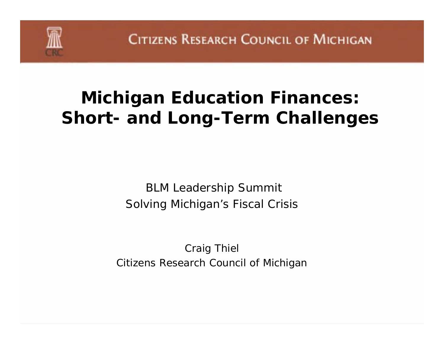

# **Michigan Education Finances: Short- and Long-Term Challenges**

BLM Leadership Summit Solving Michigan's Fiscal Crisis

Craig Thiel Citizens Research Council of Michigan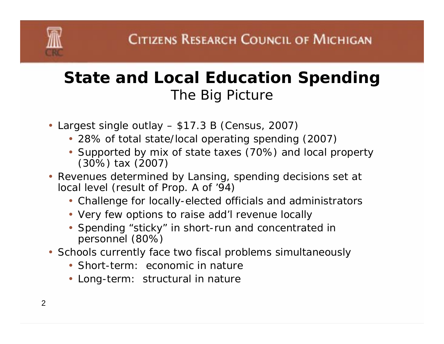### **State and Local Education Spending** *The Big Picture*

- Largest single outlay \$17.3 B (Census, 2007)
	- 28% of total state/local operating spending (2007)
	- Supported by mix of state taxes (70%) and local property (30%) tax (2007)
- Revenues determined by Lansing, spending decisions set at local level (result of Prop. A of '94)
	- Challenge for locally-elected officials and administrators
	- Very few options to raise add'l revenue locally
	- Spending "sticky" in short-run and concentrated in personnel (80%)
- Schools currently face two fiscal problems simultaneously
	- Short-term: economic in nature
	- Long-term: structural in nature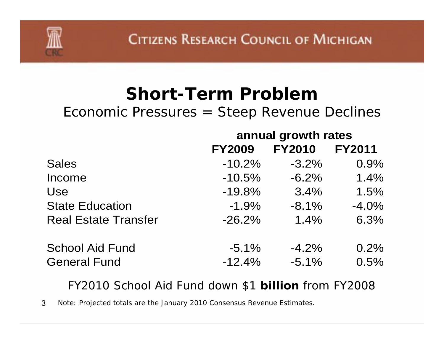### **Short-Term Problem**

#### *Economic Pressures = Steep Revenue Declines*

|                             | annual growth rates |               |               |
|-----------------------------|---------------------|---------------|---------------|
|                             | <b>FY2009</b>       | <b>FY2010</b> | <b>FY2011</b> |
| <b>Sales</b>                | $-10.2%$            | $-3.2\%$      | 0.9%          |
| Income                      | $-10.5%$            | $-6.2%$       | 1.4%          |
| Use                         | $-19.8%$            | 3.4%          | 1.5%          |
| <b>State Education</b>      | $-1.9%$             | $-8.1%$       | $-4.0%$       |
| <b>Real Estate Transfer</b> | $-26.2%$            | 1.4%          | 6.3%          |
| <b>School Aid Fund</b>      | $-5.1\%$            | $-4.2%$       | 0.2%          |
| <b>General Fund</b>         | $-12.4%$            | $-5.1%$       | 0.5%          |

#### *FY2010 School Aid Fund down \$1 billion from FY2008*

3Note: Projected totals are the January 2010 Consensus Revenue Estimates.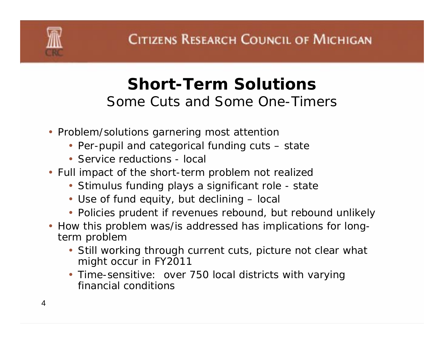### **Short-Term Solutions***Some Cuts and Some One-Timers*

- Problem/solutions garnering most attention
	- Per-pupil and categorical funding cuts state
	- Service reductions local
- Full impact of the short-term problem not realized
	- Stimulus funding plays a significant role state
	- Use of fund equity, but declining local
	- Policies prudent if revenues rebound, but rebound unlikely
- How this problem was/is addressed has implications for longterm problem
	- Still working through current cuts, picture not clear what might occur in FY2011
	- Time-sensitive: over 750 local districts with varying financial conditions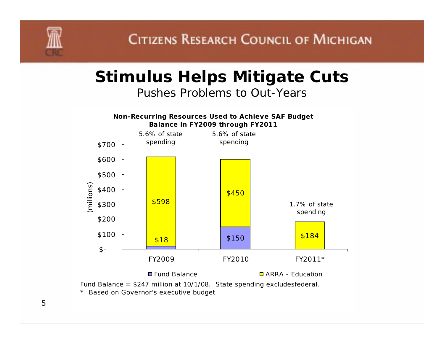

### **Stimulus Helps Mitigate Cuts**

*Pushes Problems to Out-Years*



Fund Balance = \$247 million at 10/1/08. State spending excludesfederal.

\* Based on Governor's executive budget.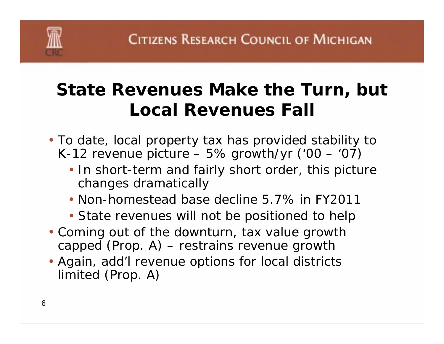# **State Revenues Make the Turn, but Local Revenues Fall**

- To date, local property tax has provided stability to K-12 revenue picture  $-5\%$  growth/yr ('00  $-$  '07)
	- In short-term and fairly short order, this picture changes dramatically
	- Non-homestead base decline 5.7% in FY2011
	- State revenues will not be positioned to help
- Coming out of the downturn, tax value growth capped (Prop. A) – restrains revenue growth
- Again, add'l revenue options for local districts limited (Prop. A)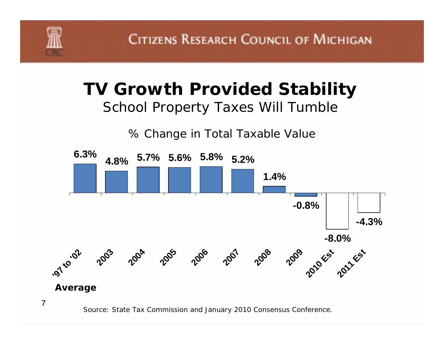

### **TV Growth Provided Stability**  *School Property Taxes Will Tumble*





Source: State Tax Commission and January 2010 Consensus Conference.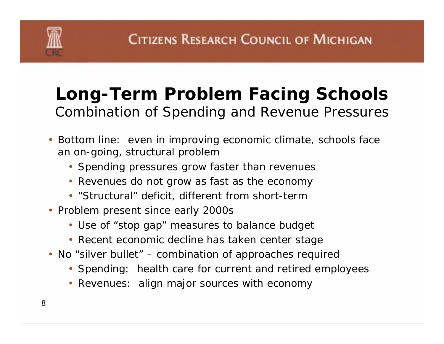

### **Long-Term Problem Facing Schools** *Combination of Spending and Revenue Pressures*

- Bottom line: even in improving economic climate, schools face an on-going, structural problem
	- Spending pressures grow faster than revenues
	- Revenues do not grow as fast as the economy
	- "Structural" deficit, different from short-term
- Problem present since early 2000s
	- Use of "stop gap" measures to balance budget
	- Recent economic decline has taken center stage
- No "silver bullet" combination of approaches required
	- Spending: health care for current and retired employees
	- Revenues: align major sources with economy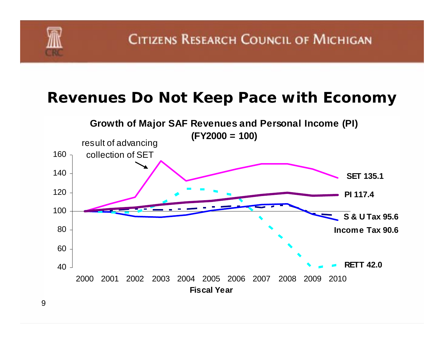

### **Revenues Do Not Keep Pace with Economy**

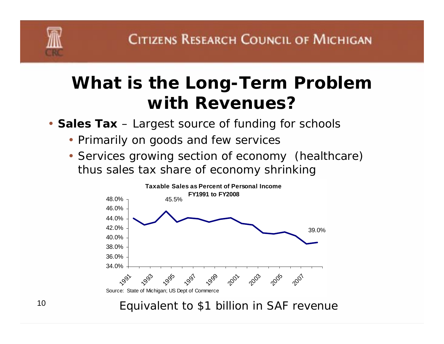

# **What is the Long-Term Problem with Revenues?**

- **Sales Tax** Largest source of funding for schools
	- Primarily on goods and few services
	- Services growing section of economy (healthcare) thus sales tax share of economy shrinking



*Equivalent to \$1 billion in SAF revenue*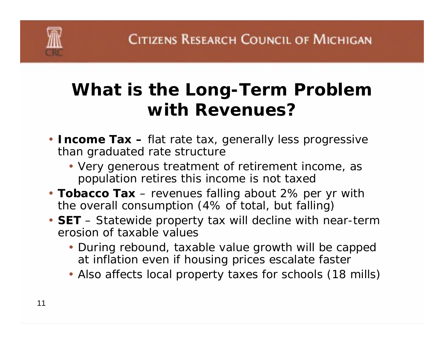# **What is the Long-Term Problem with Revenues?**

- **Income Tax –** flat rate tax, generally less progressive than graduated rate structure
	- Very generous treatment of retirement income, as population retires this income is not taxed
- **Tobacco Tax** revenues falling about 2% per yr with the overall consumption (4% of total, but falling)
- **SET** Statewide property tax will decline with near-term erosion of taxable values
	- During rebound, taxable value growth will be capped at inflation even if housing prices escalate faster
	- Also affects local property taxes for schools (18 mills)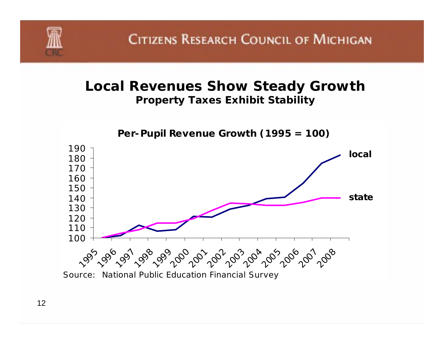#### **Local Revenues Show Steady Growth** *Property Taxes Exhibit Stability*

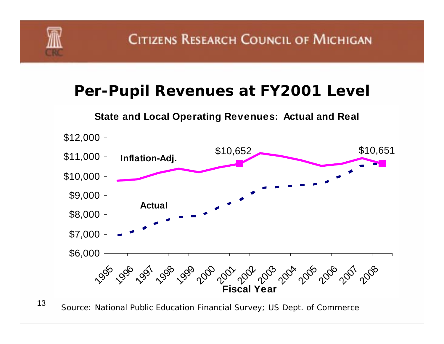

### **Per-Pupil Revenues at FY2001 Level**

#### **State and Local Operating Revenues: Actual and Real**



13Source: National Public Education Financial Survey; US Dept. of Commerce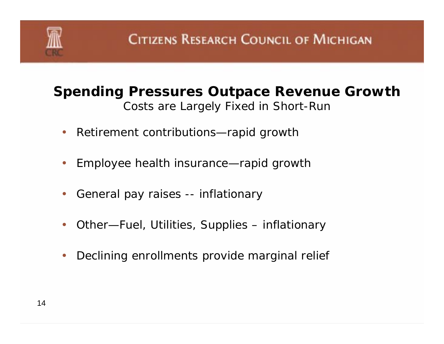

### **Spending Pressures Outpace Revenue Growth** *Costs are Largely Fixed in Short-Run*

- $\bullet$ Retirement contributions—rapid growth
- $\bullet$ Employee health insurance—rapid growth
- $\bullet$ General pay raises -- inflationary
- $\bullet$ Other—Fuel, Utilities, Supplies – inflationary
- $\bullet$ Declining enrollments provide marginal relief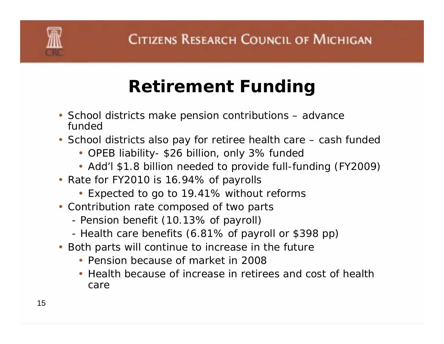# **Retirement Funding**

- School districts make pension contributions advance funded
- School districts also pay for retiree health care cash funded
	- OPEB liability- \$26 billion, only 3% funded
	- Add'l \$1.8 billion needed to provide full-funding (FY2009)
- Rate for FY2010 is 16.94% of payrolls
	- Expected to go to 19.41% without reforms
- Contribution rate composed of two parts
	- -Pension benefit (10.13% of payroll)
	- -Health care benefits (6.81% of payroll or \$398 pp)
- Both parts will continue to increase in the future
	- Pension because of market in 2008
	- Health because of increase in retirees and cost of health care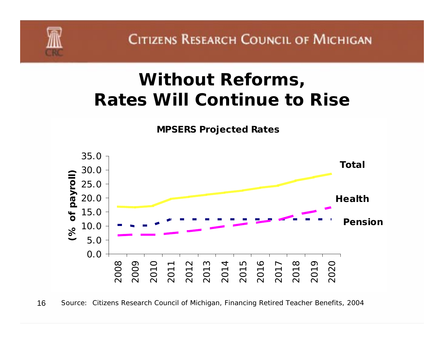

# **Without Reforms, Rates Will Continue to Rise**

**MPSERS Projected Rates**



16Source: Citizens Research Council of Michigan, *Financing Retired Teacher Benefits, 2004*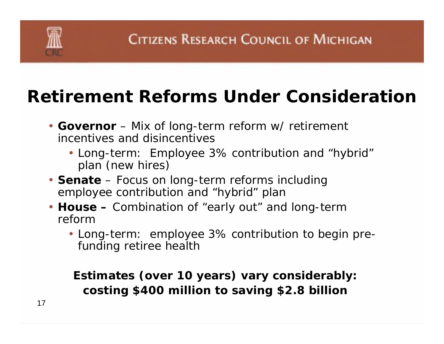# **Retirement Reforms Under Consideration**

- **Governor** Mix of long-term reform w/ retirement incentives and disincentives
	- Long-term: Employee 3% contribution and "hybrid" plan (new hires)
- **Senate** Focus on long-term reforms including employee contribution and "hybrid" plan
- **House –** Combination of "early out" and long-term reform
	- Long-term: employee 3% contribution to begin prefunding retiree health

**Estimates (over 10 years) vary considerably: costing \$400 million to saving \$2.8 billion**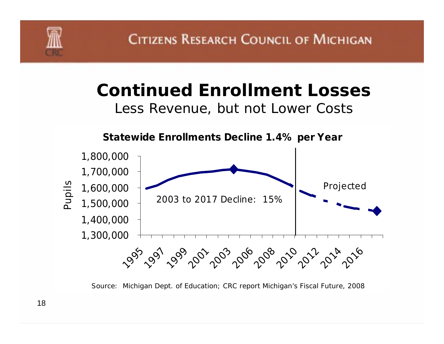

# **Continued Enrollment Losses**

*Less Revenue, but not Lower Costs*



Source: Michigan Dept. of Education; CRC report *Michigan's Fiscal Future, 2008*